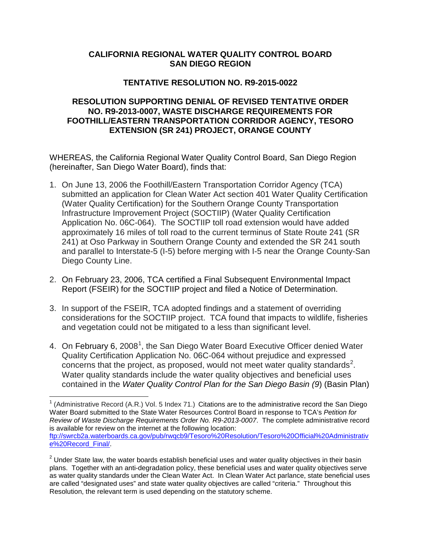## **CALIFORNIA REGIONAL WATER QUALITY CONTROL BOARD SAN DIEGO REGION**

## **TENTATIVE RESOLUTION NO. R9-2015-0022**

## **RESOLUTION SUPPORTING DENIAL OF REVISED TENTATIVE ORDER NO. R9-2013-0007, WASTE DISCHARGE REQUIREMENTS FOR FOOTHILL/EASTERN TRANSPORTATION CORRIDOR AGENCY, TESORO EXTENSION (SR 241) PROJECT, ORANGE COUNTY**

WHEREAS, the California Regional Water Quality Control Board, San Diego Region (hereinafter, San Diego Water Board), finds that:

- 1. On June 13, 2006 the Foothill/Eastern Transportation Corridor Agency (TCA) submitted an application for Clean Water Act section 401 Water Quality Certification (Water Quality Certification) for the Southern Orange County Transportation Infrastructure Improvement Project (SOCTIIP) (Water Quality Certification Application No. 06C-064). The SOCTIIP toll road extension would have added approximately 16 miles of toll road to the current terminus of State Route 241 (SR 241) at Oso Parkway in Southern Orange County and extended the SR 241 south and parallel to Interstate-5 (I-5) before merging with I-5 near the Orange County-San Diego County Line.
- 2. On February 23, 2006, TCA certified a Final Subsequent Environmental Impact Report (FSEIR) for the SOCTIIP project and filed a Notice of Determination.
- 3. In support of the FSEIR, TCA adopted findings and a statement of overriding considerations for the SOCTIIP project. TCA found that impacts to wildlife, fisheries and vegetation could not be mitigated to a less than significant level.
- 4. On February 6, 2008<sup>[1](#page-0-0)</sup>, the San Diego Water Board Executive Officer denied Water Quality Certification Application No. 06C-064 without prejudice and expressed concerns that the project, as proposed, would not meet water quality standards<sup>[2](#page-0-1)</sup>. Water quality standards include the water quality objectives and beneficial uses contained in the *Water Quality Control Plan for the San Diego Basin (9*) (Basin Plan)

<span id="page-0-0"></span> $1$  (Administrative Record (A.R.) Vol. 5 Index 71.) Citations are to the administrative record the San Diego Water Board submitted to the State Water Resources Control Board in response to TCA's *Petition for Review of Waste Discharge Requirements Order No. R9-2013-0007*. The complete administrative record is available for review on the internet at the following location: [ftp://swrcb2a.waterboards.ca.gov/pub/rwqcb9/Tesoro%20Resolution/Tesoro%20Official%20Administrativ](ftp://swrcb2a.waterboards.ca.gov/pub/rwqcb9/Tesoro Resolution/Tesoro Official Administrative Record_Final/) [e%20Record\\_Final/.](ftp://swrcb2a.waterboards.ca.gov/pub/rwqcb9/Tesoro Resolution/Tesoro Official Administrative Record_Final/)

<span id="page-0-1"></span> $2$  Under State law, the water boards establish beneficial uses and water quality objectives in their basin plans. Together with an anti-degradation policy, these beneficial uses and water quality objectives serve as water quality standards under the Clean Water Act. In Clean Water Act parlance, state beneficial uses are called "designated uses" and state water quality objectives are called "criteria." Throughout this Resolution, the relevant term is used depending on the statutory scheme.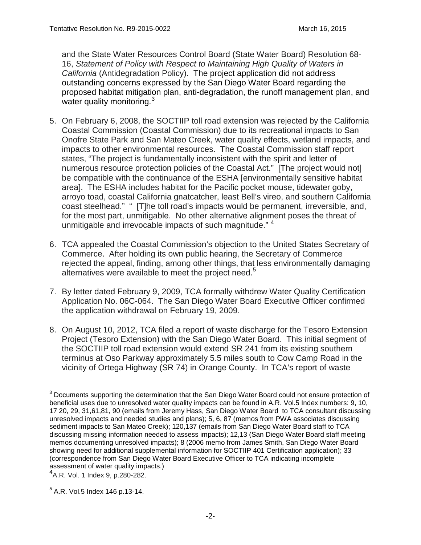and the State Water Resources Control Board (State Water Board) Resolution 68- 16, *Statement of Policy with Respect to Maintaining High Quality of Waters in California* (Antidegradation Policy). The project application did not address outstanding concerns expressed by the San Diego Water Board regarding the proposed habitat mitigation plan, anti-degradation, the runoff management plan, and water quality monitoring.<sup>[3](#page-1-0)</sup>

- 5. On February 6, 2008, the SOCTIIP toll road extension was rejected by the California Coastal Commission (Coastal Commission) due to its recreational impacts to San Onofre State Park and San Mateo Creek, water quality effects, wetland impacts, and impacts to other environmental resources. The Coastal Commission staff report states, "The project is fundamentally inconsistent with the spirit and letter of numerous resource protection policies of the Coastal Act." [The project would not] be compatible with the continuance of the ESHA [environmentally sensitive habitat area]. The ESHA includes habitat for the Pacific pocket mouse, tidewater goby, arroyo toad, coastal California gnatcatcher, least Bell's vireo, and southern California coast steelhead." " [T]he toll road's impacts would be permanent, irreversible, and, for the most part, unmitigable. No other alternative alignment poses the threat of unmitigable and irrevocable impacts of such magnitude."<sup>[4](#page-1-1)</sup>
- 6. TCA appealed the Coastal Commission's objection to the United States Secretary of Commerce. After holding its own public hearing, the Secretary of Commerce rejected the appeal, finding, among other things, that less environmentally damaging alternatives were available to meet the project need. $5$
- 7. By letter dated February 9, 2009, TCA formally withdrew Water Quality Certification Application No. 06C-064. The San Diego Water Board Executive Officer confirmed the application withdrawal on February 19, 2009.
- 8. On August 10, 2012, TCA filed a report of waste discharge for the Tesoro Extension Project (Tesoro Extension) with the San Diego Water Board. This initial segment of the SOCTIIP toll road extension would extend SR 241 from its existing southern terminus at Oso Parkway approximately 5.5 miles south to Cow Camp Road in the vicinity of Ortega Highway (SR 74) in Orange County. In TCA's report of waste

<span id="page-1-0"></span><sup>&</sup>lt;sup>3</sup> Documents supporting the determination that the San Diego Water Board could not ensure protection of beneficial uses due to unresolved water quality impacts can be found in A.R. Vol.5 Index numbers: 9, 10, 17 20, 29, 31,61,81, 90 (emails from Jeremy Hass, San Diego Water Board to TCA consultant discussing unresolved impacts and needed studies and plans); 5, 6, 87 (memos from PWA associates discussing sediment impacts to San Mateo Creek); 120,137 (emails from San Diego Water Board staff to TCA discussing missing information needed to assess impacts); 12,13 (San Diego Water Board staff meeting memos documenting unresolved impacts); 8 (2006 memo from James Smith, San Diego Water Board showing need for additional supplemental information for SOCTIIP 401 Certification application); 33 (correspondence from San Diego Water Board Executive Officer to TCA indicating incomplete assessment of water quality impacts.) <sup>4</sup>

<span id="page-1-1"></span>A.R. Vol. 1 Index 9, p.280-282.

<span id="page-1-2"></span> $5$  A.R. Vol.5 Index 146 p.13-14.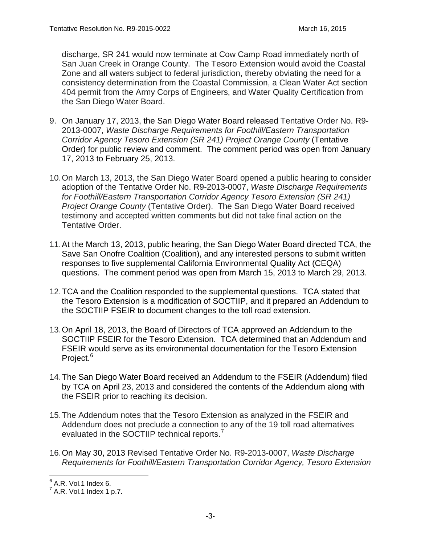discharge, SR 241 would now terminate at Cow Camp Road immediately north of San Juan Creek in Orange County. The Tesoro Extension would avoid the Coastal Zone and all waters subject to federal jurisdiction, thereby obviating the need for a consistency determination from the Coastal Commission, a Clean Water Act section 404 permit from the Army Corps of Engineers, and Water Quality Certification from the San Diego Water Board.

- 9. On January 17, 2013, the San Diego Water Board released Tentative Order No. R9- 2013-0007, *Waste Discharge Requirements for Foothill/Eastern Transportation Corridor Agency Tesoro Extension (SR 241) Project Orange County* (Tentative Order) for public review and comment. The comment period was open from January 17, 2013 to February 25, 2013.
- 10.On March 13, 2013, the San Diego Water Board opened a public hearing to consider adoption of the Tentative Order No. R9-2013-0007, *Waste Discharge Requirements for Foothill/Eastern Transportation Corridor Agency Tesoro Extension (SR 241) Project Orange County* (Tentative Order). The San Diego Water Board received testimony and accepted written comments but did not take final action on the Tentative Order.
- 11.At the March 13, 2013, public hearing, the San Diego Water Board directed TCA, the Save San Onofre Coalition (Coalition), and any interested persons to submit written responses to five supplemental California Environmental Quality Act (CEQA) questions. The comment period was open from March 15, 2013 to March 29, 2013.
- 12.TCA and the Coalition responded to the supplemental questions. TCA stated that the Tesoro Extension is a modification of SOCTIIP, and it prepared an Addendum to the SOCTIIP FSEIR to document changes to the toll road extension.
- 13.On April 18, 2013, the Board of Directors of TCA approved an Addendum to the SOCTIIP FSEIR for the Tesoro Extension. TCA determined that an Addendum and FSEIR would serve as its environmental documentation for the Tesoro Extension Project.<sup>[6](#page-2-0)</sup>
- 14.The San Diego Water Board received an Addendum to the FSEIR (Addendum) filed by TCA on April 23, 2013 and considered the contents of the Addendum along with the FSEIR prior to reaching its decision.
- 15.The Addendum notes that the Tesoro Extension as analyzed in the FSEIR and Addendum does not preclude a connection to any of the 19 toll road alternatives evaluated in the SOCTIIP technical reports.<sup>[7](#page-2-1)</sup>
- 16.On May 30, 2013 Revised Tentative Order No. R9-2013-0007, *Waste Discharge Requirements for Foothill/Eastern Transportation Corridor Agency, Tesoro Extension*

<span id="page-2-0"></span> $6$  A.R. Vol.1 Index 6.

<span id="page-2-1"></span> $7^7$  A.R. Vol.1 Index 1 p.7.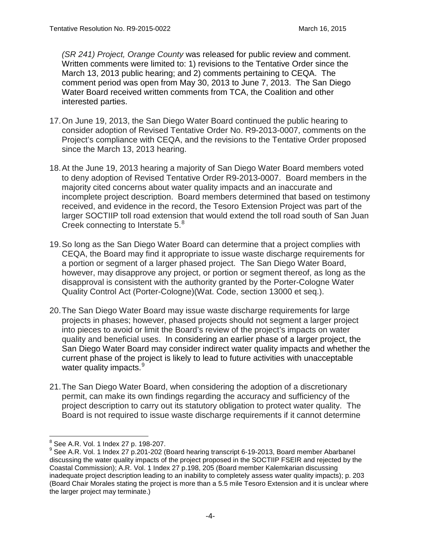*(SR 241) Project, Orange County* was released for public review and comment. Written comments were limited to: 1) revisions to the Tentative Order since the March 13, 2013 public hearing; and 2) comments pertaining to CEQA. The comment period was open from May 30, 2013 to June 7, 2013. The San Diego Water Board received written comments from TCA, the Coalition and other interested parties.

- 17.On June 19, 2013, the San Diego Water Board continued the public hearing to consider adoption of Revised Tentative Order No. R9-2013-0007, comments on the Project's compliance with CEQA, and the revisions to the Tentative Order proposed since the March 13, 2013 hearing.
- 18.At the June 19, 2013 hearing a majority of San Diego Water Board members voted to deny adoption of Revised Tentative Order R9-2013-0007. Board members in the majority cited concerns about water quality impacts and an inaccurate and incomplete project description. Board members determined that based on testimony received, and evidence in the record, the Tesoro Extension Project was part of the larger SOCTIIP toll road extension that would extend the toll road south of San Juan Creek connecting to Interstate 5.<sup>[8](#page-3-0)</sup>
- 19.So long as the San Diego Water Board can determine that a project complies with CEQA, the Board may find it appropriate to issue waste discharge requirements for a portion or segment of a larger phased project. The San Diego Water Board, however, may disapprove any project, or portion or segment thereof, as long as the disapproval is consistent with the authority granted by the Porter-Cologne Water Quality Control Act (Porter-Cologne)(Wat. Code, section 13000 et seq.).
- 20.The San Diego Water Board may issue waste discharge requirements for large projects in phases; however, phased projects should not segment a larger project into pieces to avoid or limit the Board's review of the project's impacts on water quality and beneficial uses. In considering an earlier phase of a larger project, the San Diego Water Board may consider indirect water quality impacts and whether the current phase of the project is likely to lead to future activities with unacceptable water quality impacts.<sup>[9](#page-3-1)</sup>
- 21.The San Diego Water Board, when considering the adoption of a discretionary permit, can make its own findings regarding the accuracy and sufficiency of the project description to carry out its statutory obligation to protect water quality. The Board is not required to issue waste discharge requirements if it cannot determine

<span id="page-3-0"></span> <sup>8</sup> See A.R. Vol. 1 Index 27 p. 198-207.

<span id="page-3-1"></span><sup>&</sup>lt;sup>9</sup> See A.R. Vol. 1 Index 27 p.201-202 (Board hearing transcript 6-19-2013, Board member Abarbanel discussing the water quality impacts of the project proposed in the SOCTIIP FSEIR and rejected by the Coastal Commission); A.R. Vol. 1 Index 27 p.198, 205 (Board member Kalemkarian discussing inadequate project description leading to an inability to completely assess water quality impacts); p. 203 (Board Chair Morales stating the project is more than a 5.5 mile Tesoro Extension and it is unclear where the larger project may terminate.)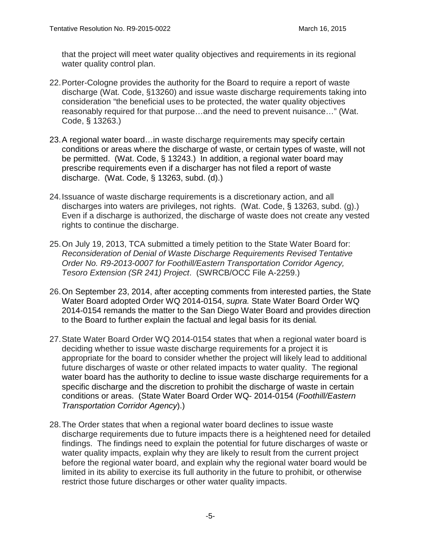that the project will meet water quality objectives and requirements in its regional water quality control plan.

- 22.Porter-Cologne provides the authority for the Board to require a report of waste discharge (Wat. Code, §13260) and issue waste discharge requirements taking into consideration "the beneficial uses to be protected, the water quality objectives reasonably required for that purpose…and the need to prevent nuisance…" (Wat. Code, § 13263.)
- 23.A regional water board…in waste discharge requirements may specify certain conditions or areas where the discharge of waste, or certain types of waste, will not be permitted. (Wat. Code, § 13243.) In addition, a regional water board may prescribe requirements even if a discharger has not filed a report of waste discharge. (Wat. Code, § 13263, subd. (d).)
- 24.Issuance of waste discharge requirements is a discretionary action, and all discharges into waters are privileges, not rights. (Wat. Code, § 13263, subd. (g).) Even if a discharge is authorized, the discharge of waste does not create any vested rights to continue the discharge.
- 25.On July 19, 2013, TCA submitted a timely petition to the State Water Board for: *Reconsideration of Denial of Waste Discharge Requirements Revised Tentative Order No. R9-2013-0007 for Foothill/Eastern Transportation Corridor Agency, Tesoro Extension (SR 241) Project*. (SWRCB/OCC File A-2259.)
- 26.On September 23, 2014, after accepting comments from interested parties, the State Water Board adopted Order WQ 2014-0154, *supra.* State Water Board Order WQ 2014-0154 remands the matter to the San Diego Water Board and provides direction to the Board to further explain the factual and legal basis for its denial*.*
- 27.State Water Board Order WQ 2014-0154 states that when a regional water board is deciding whether to issue waste discharge requirements for a project it is appropriate for the board to consider whether the project will likely lead to additional future discharges of waste or other related impacts to water quality. The regional water board has the authority to decline to issue waste discharge requirements for a specific discharge and the discretion to prohibit the discharge of waste in certain conditions or areas. (State Water Board Order WQ- 2014-0154 (*Foothill/Eastern Transportation Corridor Agency*).)
- 28.The Order states that when a regional water board declines to issue waste discharge requirements due to future impacts there is a heightened need for detailed findings. The findings need to explain the potential for future discharges of waste or water quality impacts, explain why they are likely to result from the current project before the regional water board, and explain why the regional water board would be limited in its ability to exercise its full authority in the future to prohibit, or otherwise restrict those future discharges or other water quality impacts.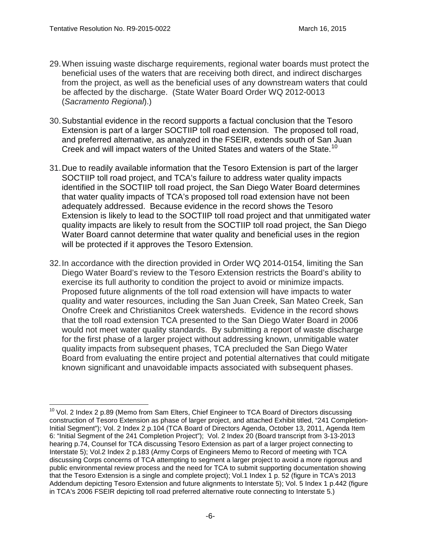- 29.When issuing waste discharge requirements, regional water boards must protect the beneficial uses of the waters that are receiving both direct, and indirect discharges from the project, as well as the beneficial uses of any downstream waters that could be affected by the discharge. (State Water Board Order WQ 2012-0013 (*Sacramento Regional*).)
- 30.Substantial evidence in the record supports a factual conclusion that the Tesoro Extension is part of a larger SOCTIIP toll road extension. The proposed toll road, and preferred alternative, as analyzed in the FSEIR, extends south of San Juan Creek and will impact waters of the United States and waters of the State.<sup>[10](#page-5-0)</sup>
- 31.Due to readily available information that the Tesoro Extension is part of the larger SOCTIIP toll road project, and TCA's failure to address water quality impacts identified in the SOCTIIP toll road project, the San Diego Water Board determines that water quality impacts of TCA's proposed toll road extension have not been adequately addressed. Because evidence in the record shows the Tesoro Extension is likely to lead to the SOCTIIP toll road project and that unmitigated water quality impacts are likely to result from the SOCTIIP toll road project, the San Diego Water Board cannot determine that water quality and beneficial uses in the region will be protected if it approves the Tesoro Extension.
- 32.In accordance with the direction provided in Order WQ 2014-0154, limiting the San Diego Water Board's review to the Tesoro Extension restricts the Board's ability to exercise its full authority to condition the project to avoid or minimize impacts. Proposed future alignments of the toll road extension will have impacts to water quality and water resources, including the San Juan Creek, San Mateo Creek, San Onofre Creek and Christianitos Creek watersheds. Evidence in the record shows that the toll road extension TCA presented to the San Diego Water Board in 2006 would not meet water quality standards. By submitting a report of waste discharge for the first phase of a larger project without addressing known, unmitigable water quality impacts from subsequent phases, TCA precluded the San Diego Water Board from evaluating the entire project and potential alternatives that could mitigate known significant and unavoidable impacts associated with subsequent phases.

<span id="page-5-0"></span> $10$  Vol. 2 Index 2 p.89 (Memo from Sam Elters, Chief Engineer to TCA Board of Directors discussing construction of Tesoro Extension as phase of larger project, and attached Exhibit titled, "241 Completion-Initial Segment"); Vol. 2 Index 2 p.104 (TCA Board of Directors Agenda, October 13, 2011, Agenda Item 6: "Initial Segment of the 241 Completion Project"); Vol. 2 Index 20 (Board transcript from 3-13-2013 hearing p.74, Counsel for TCA discussing Tesoro Extension as part of a larger project connecting to Interstate 5); Vol.2 Index 2 p.183 (Army Corps of Engineers Memo to Record of meeting with TCA discussing Corps concerns of TCA attempting to segment a larger project to avoid a more rigorous and public environmental review process and the need for TCA to submit supporting documentation showing that the Tesoro Extension is a single and complete project); Vol.1 Index 1 p. 52 (figure in TCA's 2013 Addendum depicting Tesoro Extension and future alignments to Interstate 5); Vol. 5 Index 1 p.442 (figure in TCA's 2006 FSEIR depicting toll road preferred alternative route connecting to Interstate 5.)